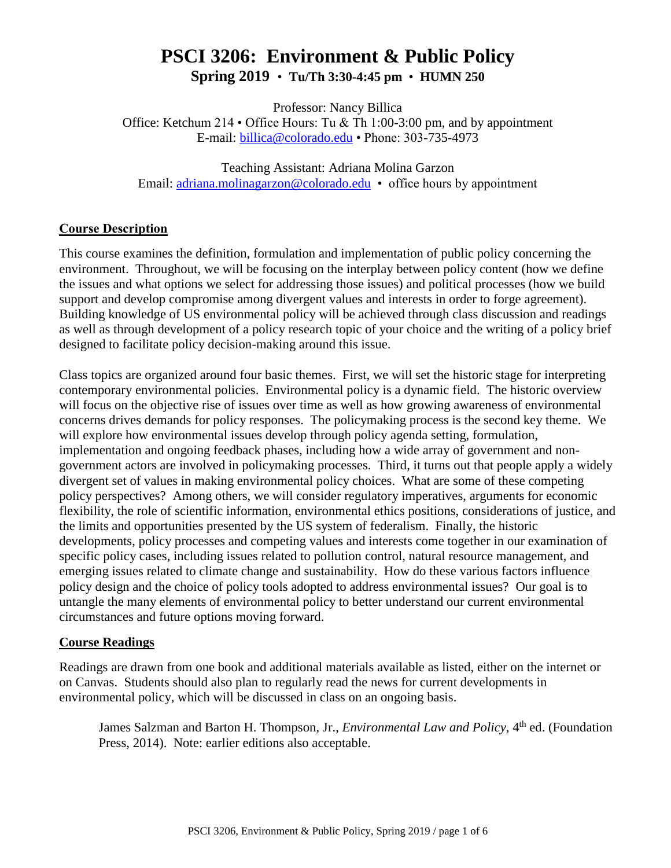# **PSCI 3206: Environment & Public Policy Spring 2019** • **Tu/Th 3:30-4:45 pm** • **HUMN 250**

Professor: Nancy Billica

Office: Ketchum 214 • Office Hours: Tu & Th 1:00-3:00 pm, and by appointment E-mail: [billica@colorado.edu](mailto:billica@colorado.edu) • Phone: 303-735-4973

Teaching Assistant: Adriana Molina Garzon Email: [adriana.molinagarzon@colorado.edu](mailto:adriana.molinagarzon@colorado.edu) • office hours by appointment

### **Course Description**

This course examines the definition, formulation and implementation of public policy concerning the environment. Throughout, we will be focusing on the interplay between policy content (how we define the issues and what options we select for addressing those issues) and political processes (how we build support and develop compromise among divergent values and interests in order to forge agreement). Building knowledge of US environmental policy will be achieved through class discussion and readings as well as through development of a policy research topic of your choice and the writing of a policy brief designed to facilitate policy decision-making around this issue.

Class topics are organized around four basic themes. First, we will set the historic stage for interpreting contemporary environmental policies. Environmental policy is a dynamic field. The historic overview will focus on the objective rise of issues over time as well as how growing awareness of environmental concerns drives demands for policy responses. The policymaking process is the second key theme. We will explore how environmental issues develop through policy agenda setting, formulation, implementation and ongoing feedback phases, including how a wide array of government and nongovernment actors are involved in policymaking processes. Third, it turns out that people apply a widely divergent set of values in making environmental policy choices. What are some of these competing policy perspectives? Among others, we will consider regulatory imperatives, arguments for economic flexibility, the role of scientific information, environmental ethics positions, considerations of justice, and the limits and opportunities presented by the US system of federalism. Finally, the historic developments, policy processes and competing values and interests come together in our examination of specific policy cases, including issues related to pollution control, natural resource management, and emerging issues related to climate change and sustainability. How do these various factors influence policy design and the choice of policy tools adopted to address environmental issues? Our goal is to untangle the many elements of environmental policy to better understand our current environmental circumstances and future options moving forward.

#### **Course Readings**

Readings are drawn from one book and additional materials available as listed, either on the internet or on Canvas. Students should also plan to regularly read the news for current developments in environmental policy, which will be discussed in class on an ongoing basis.

James Salzman and Barton H. Thompson, Jr., *Environmental Law and Policy*, 4<sup>th</sup> ed. (Foundation Press, 2014). Note: earlier editions also acceptable.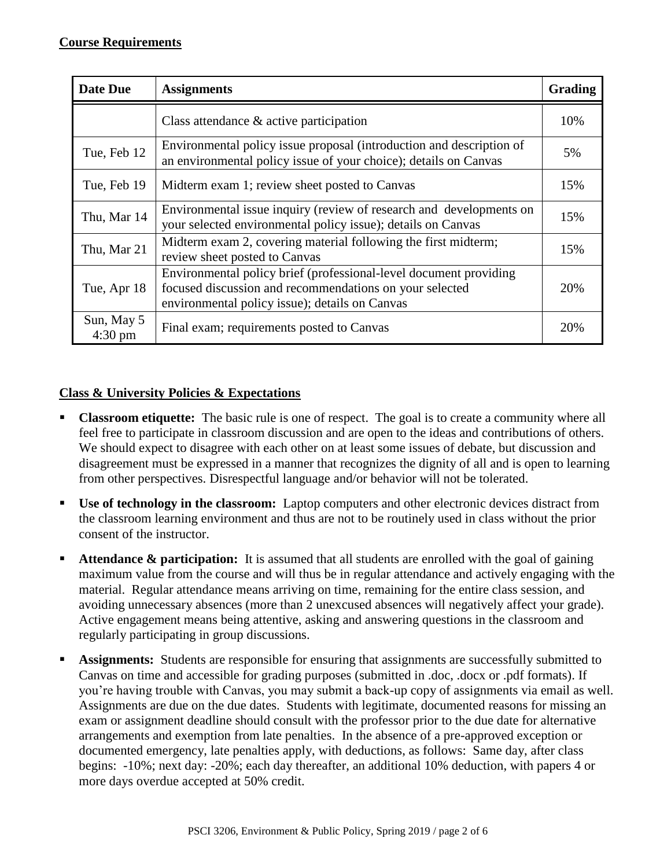| <b>Date Due</b>                 | <b>Assignments</b>                                                                                                                                                             | Grading |
|---------------------------------|--------------------------------------------------------------------------------------------------------------------------------------------------------------------------------|---------|
|                                 | Class attendance $\&$ active participation                                                                                                                                     | 10%     |
| Tue, Feb 12                     | Environmental policy issue proposal (introduction and description of<br>an environmental policy issue of your choice); details on Canvas                                       | 5%      |
| Tue, Feb 19                     | Midterm exam 1; review sheet posted to Canvas                                                                                                                                  | 15%     |
| Thu, Mar 14                     | Environmental issue inquiry (review of research and developments on<br>your selected environmental policy issue); details on Canvas                                            | 15%     |
| Thu, Mar 21                     | Midterm exam 2, covering material following the first midterm;<br>review sheet posted to Canvas                                                                                | 15%     |
| Tue, Apr 18                     | Environmental policy brief (professional-level document providing<br>focused discussion and recommendations on your selected<br>environmental policy issue); details on Canvas | 20%     |
| Sun, May 5<br>$4:30 \text{ pm}$ | Final exam; requirements posted to Canvas                                                                                                                                      | 20%     |

### **Class & University Policies & Expectations**

- **Classroom etiquette:** The basic rule is one of respect. The goal is to create a community where all feel free to participate in classroom discussion and are open to the ideas and contributions of others. We should expect to disagree with each other on at least some issues of debate, but discussion and disagreement must be expressed in a manner that recognizes the dignity of all and is open to learning from other perspectives. Disrespectful language and/or behavior will not be tolerated.
- **Use of technology in the classroom:** Laptop computers and other electronic devices distract from the classroom learning environment and thus are not to be routinely used in class without the prior consent of the instructor.
- **Attendance & participation:** It is assumed that all students are enrolled with the goal of gaining maximum value from the course and will thus be in regular attendance and actively engaging with the material. Regular attendance means arriving on time, remaining for the entire class session, and avoiding unnecessary absences (more than 2 unexcused absences will negatively affect your grade). Active engagement means being attentive, asking and answering questions in the classroom and regularly participating in group discussions.
- **Assignments:** Students are responsible for ensuring that assignments are successfully submitted to Canvas on time and accessible for grading purposes (submitted in .doc, .docx or .pdf formats). If you're having trouble with Canvas, you may submit a back-up copy of assignments via email as well. Assignments are due on the due dates. Students with legitimate, documented reasons for missing an exam or assignment deadline should consult with the professor prior to the due date for alternative arrangements and exemption from late penalties. In the absence of a pre-approved exception or documented emergency, late penalties apply, with deductions, as follows: Same day, after class begins: -10%; next day: -20%; each day thereafter, an additional 10% deduction, with papers 4 or more days overdue accepted at 50% credit.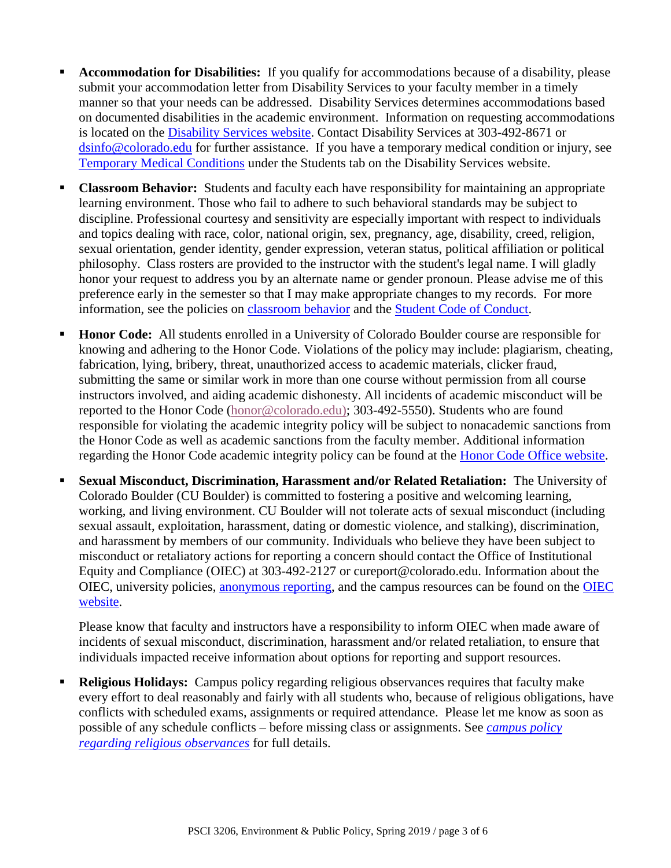- **Accommodation for Disabilities:** If you qualify for accommodations because of a disability, please submit your accommodation letter from Disability Services to your faculty member in a timely manner so that your needs can be addressed. Disability Services determines accommodations based on documented disabilities in the academic environment. Information on requesting accommodations is located on the [Disability Services website.](http://www.colorado.edu/disabilityservices/students) Contact Disability Services at 303-492-8671 or [dsinfo@colorado.edu](mailto:dsinfo@colorado.edu) for further assistance. If you have a temporary medical condition or injury, see [Temporary Medical Conditions](http://www.colorado.edu/disabilityservices/students/temporary-medical-conditions) under the Students tab on the Disability Services website.
- **Classroom Behavior:** Students and faculty each have responsibility for maintaining an appropriate learning environment. Those who fail to adhere to such behavioral standards may be subject to discipline. Professional courtesy and sensitivity are especially important with respect to individuals and topics dealing with race, color, national origin, sex, pregnancy, age, disability, creed, religion, sexual orientation, gender identity, gender expression, veteran status, political affiliation or political philosophy. Class rosters are provided to the instructor with the student's legal name. I will gladly honor your request to address you by an alternate name or gender pronoun. Please advise me of this preference early in the semester so that I may make appropriate changes to my records. For more information, see the policies on [classroom behavior](http://www.colorado.edu/policies/student-classroom-and-course-related-behavior) and the [Student Code of Conduct.](http://www.colorado.edu/osccr/)
- **Honor Code:** All students enrolled in a University of Colorado Boulder course are responsible for knowing and adhering to the Honor Code. Violations of the policy may include: plagiarism, cheating, fabrication, lying, bribery, threat, unauthorized access to academic materials, clicker fraud, submitting the same or similar work in more than one course without permission from all course instructors involved, and aiding academic dishonesty. All incidents of academic misconduct will be reported to the Honor Code [\(honor@colorado.edu\)](mailto:honor@colorado.edu); 303-492-5550). Students who are found responsible for violating the academic integrity policy will be subject to nonacademic sanctions from the Honor Code as well as academic sanctions from the faculty member. Additional information regarding the Honor Code academic integrity policy can be found at the [Honor Code Office website.](https://www.colorado.edu/osccr/honor-code)
- **Sexual Misconduct, Discrimination, Harassment and/or Related Retaliation:** The University of Colorado Boulder (CU Boulder) is committed to fostering a positive and welcoming learning, working, and living environment. CU Boulder will not tolerate acts of sexual misconduct (including sexual assault, exploitation, harassment, dating or domestic violence, and stalking), discrimination, and harassment by members of our community. Individuals who believe they have been subject to misconduct or retaliatory actions for reporting a concern should contact the Office of Institutional Equity and Compliance (OIEC) at 303-492-2127 or cureport@colorado.edu. Information about the OIEC, university policies, [anonymous reporting,](https://cuboulder.qualtrics.com/jfe/form/SV_0PnqVK4kkIJIZnf) and the campus resources can be found on the [OIEC](http://www.colorado.edu/institutionalequity/)  [website.](http://www.colorado.edu/institutionalequity/)

Please know that faculty and instructors have a responsibility to inform OIEC when made aware of incidents of sexual misconduct, discrimination, harassment and/or related retaliation, to ensure that individuals impacted receive information about options for reporting and support resources.

 **Religious Holidays:** Campus policy regarding religious observances requires that faculty make every effort to deal reasonably and fairly with all students who, because of religious obligations, have conflicts with scheduled exams, assignments or required attendance. Please let me know as soon as possible of any schedule conflicts – before missing class or assignments. See *[campus policy](http://www.colorado.edu/policies/observance-religious-holidays-and-absences-classes-andor-exams)  [regarding religious observances](http://www.colorado.edu/policies/observance-religious-holidays-and-absences-classes-andor-exams)* for full details.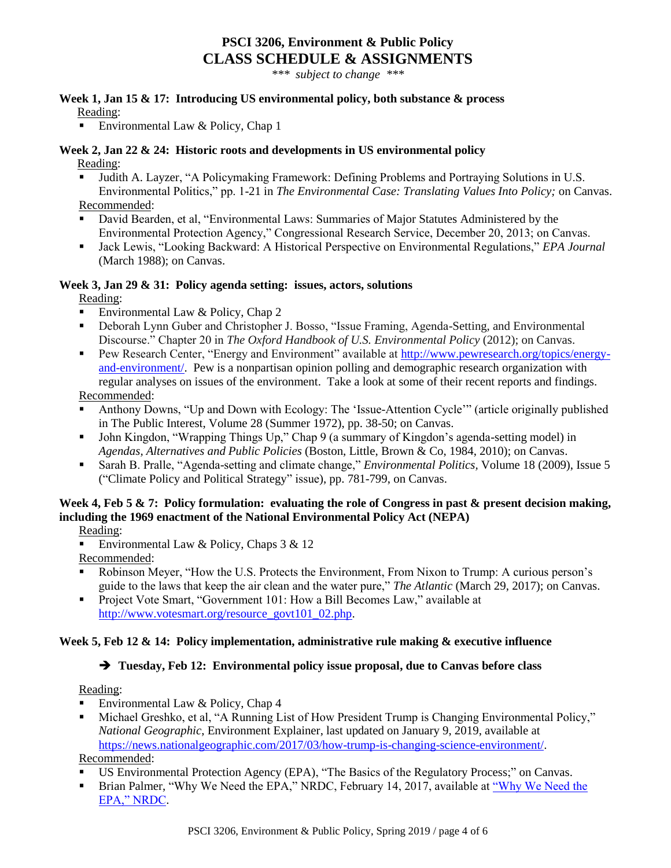## **PSCI 3206, Environment & Public Policy CLASS SCHEDULE & ASSIGNMENTS**

*\*\*\* subject to change \*\*\**

## **Week 1, Jan 15 & 17: Introducing US environmental policy, both substance & process**

Reading:

Environmental Law & Policy, Chap 1

#### **Week 2, Jan 22 & 24: Historic roots and developments in US environmental policy** Reading:

- Judith A. Layzer, "A Policymaking Framework: Defining Problems and Portraying Solutions in U.S. Environmental Politics," pp. 1-21 in *The Environmental Case: Translating Values Into Policy;* on Canvas. Recommended:
- David Bearden, et al, "Environmental Laws: Summaries of Major Statutes Administered by the Environmental Protection Agency," Congressional Research Service, December 20, 2013; on Canvas.
- Jack Lewis, "Looking Backward: A Historical Perspective on Environmental Regulations," *EPA Journal*  (March 1988); on Canvas.

#### **Week 3, Jan 29 & 31: Policy agenda setting: issues, actors, solutions**

Reading:

- Environmental Law  $&$  Policy, Chap 2
- Deborah Lynn Guber and Christopher J. Bosso, "Issue Framing, Agenda-Setting, and Environmental Discourse." Chapter 20 in *The Oxford Handbook of U.S. Environmental Policy* (2012); on Canvas.
- Pew Research Center, "Energy and Environment" available at [http://www.pewresearch.org/topics/energy](http://www.pewresearch.org/topics/energy-and-environment/)[and-environment/.](http://www.pewresearch.org/topics/energy-and-environment/) Pew is a nonpartisan opinion polling and demographic research organization with regular analyses on issues of the environment. Take a look at some of their recent reports and findings.

Recommended:

- Anthony Downs, "Up and Down with Ecology: The 'Issue-Attention Cycle'" (article originally published in The Public Interest, Volume 28 (Summer 1972), pp. 38-50; on Canvas.
- John Kingdon, "Wrapping Things Up," Chap 9 (a summary of Kingdon's agenda-setting model) in *Agendas, Alternatives and Public Policies* (Boston, Little, Brown & Co, 1984, 2010); on Canvas.
- Sarah B. Pralle, "Agenda-setting and climate change," *Environmental Politics,* Volume 18 (2009), Issue 5 ("Climate Policy and Political Strategy" issue), pp. 781-799, on Canvas.

## **Week 4, Feb 5 & 7: Policy formulation: evaluating the role of Congress in past & present decision making, including the 1969 enactment of the National Environmental Policy Act (NEPA)**

Reading:

Environmental Law & Policy, Chaps 3 & 12

Recommended:

- Robinson Meyer, "How the U.S. Protects the Environment, From Nixon to Trump: A curious person's guide to the laws that keep the air clean and the water pure," *The Atlantic* (March 29, 2017); on Canvas.
- **Project Vote Smart, "Government 101: How a Bill Becomes Law," available at** [http://www.votesmart.org/resource\\_govt101\\_02.php.](http://www.votesmart.org/resource_govt101_02.php)

#### **Week 5, Feb 12 & 14: Policy implementation, administrative rule making & executive influence**

#### **Tuesday, Feb 12: Environmental policy issue proposal, due to Canvas before class**

Reading:

- Environmental Law & Policy, Chap 4
- Michael Greshko, et al, "A Running List of How President Trump is Changing Environmental Policy," *National Geographic*, Environment Explainer, last updated on January 9, 2019, available at [https://news.nationalgeographic.com/2017/03/how-trump-is-changing-science-environment/.](https://news.nationalgeographic.com/2017/03/how-trump-is-changing-science-environment/)

Recommended:

- US Environmental Protection Agency (EPA), "The Basics of the Regulatory Process;" on Canvas.
- Brian Palmer, ["Why We Need the](https://www.nrdc.org/stories/why-we-need-epa?gclid=CjwKCAjwtIXbBRBhEiwAWV-5nvUMraJNdWNR9KbXzmWm2qKvk0694MUTIag1AZZqmE-KWk0YeK8m3RoCJ-UQAvD_BwE) EPA," NRDC, February 14, 2017, available at "Why We Need the [EPA," NRDC.](https://www.nrdc.org/stories/why-we-need-epa?gclid=CjwKCAjwtIXbBRBhEiwAWV-5nvUMraJNdWNR9KbXzmWm2qKvk0694MUTIag1AZZqmE-KWk0YeK8m3RoCJ-UQAvD_BwE)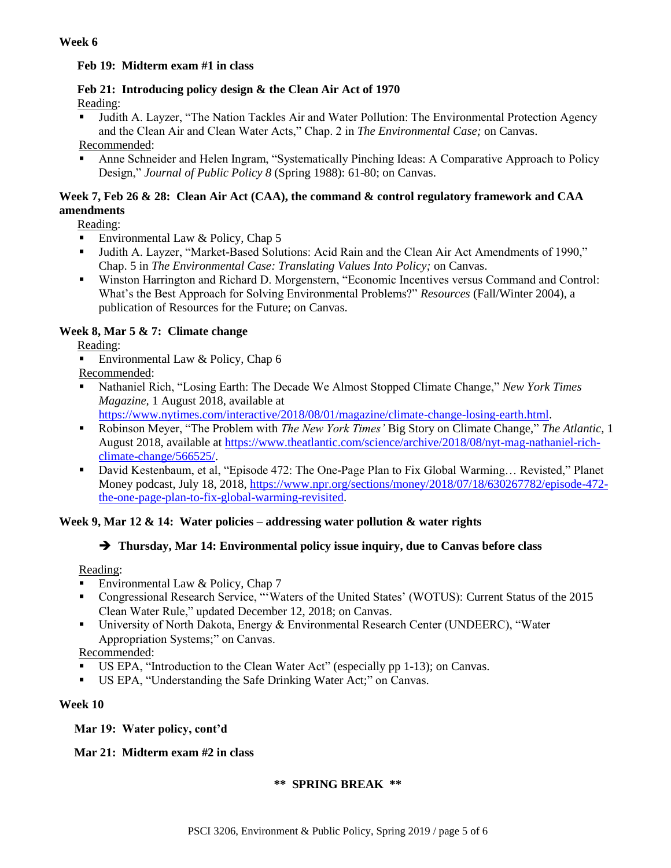#### **Week 6**

#### **Feb 19: Midterm exam #1 in class**

#### **Feb 21: Introducing policy design & the Clean Air Act of 1970** Reading:

 Judith A. Layzer, "The Nation Tackles Air and Water Pollution: The Environmental Protection Agency and the Clean Air and Clean Water Acts," Chap. 2 in *The Environmental Case;* on Canvas.

Recommended:

 Anne Schneider and Helen Ingram, "Systematically Pinching Ideas: A Comparative Approach to Policy Design," *Journal of Public Policy 8* (Spring 1988): 61-80; on Canvas.

#### **Week 7, Feb 26 & 28: Clean Air Act (CAA), the command & control regulatory framework and CAA amendments**

Reading:

- Environmental Law & Policy, Chap 5
- Judith A. Layzer, "Market-Based Solutions: Acid Rain and the Clean Air Act Amendments of 1990," Chap. 5 in *The Environmental Case: Translating Values Into Policy;* on Canvas.
- Winston Harrington and Richard D. Morgenstern, "Economic Incentives versus Command and Control: What's the Best Approach for Solving Environmental Problems?" *Resources* (Fall/Winter 2004), a publication of Resources for the Future; on Canvas.

### **Week 8, Mar 5 & 7: Climate change**

Reading:

Environmental Law  $&$  Policy, Chap 6

Recommended:

 Nathaniel Rich, "Losing Earth: The Decade We Almost Stopped Climate Change," *New York Times Magazine,* 1 August 2018, available at

[https://www.nytimes.com/interactive/2018/08/01/magazine/climate-change-losing-earth.html.](https://www.nytimes.com/interactive/2018/08/01/magazine/climate-change-losing-earth.html)

- Robinson Meyer, "The Problem with *The New York Times'* Big Story on Climate Change," *The Atlantic,* 1 August 2018, available at [https://www.theatlantic.com/science/archive/2018/08/nyt-mag-nathaniel-rich](https://www.theatlantic.com/science/archive/2018/08/nyt-mag-nathaniel-rich-climate-change/566525/)[climate-change/566525/.](https://www.theatlantic.com/science/archive/2018/08/nyt-mag-nathaniel-rich-climate-change/566525/)
- David Kestenbaum, et al, "Episode 472: The One-Page Plan to Fix Global Warming... Revisted," Planet Money podcast, July 18, 2018, [https://www.npr.org/sections/money/2018/07/18/630267782/episode-472](https://www.npr.org/sections/money/2018/07/18/630267782/episode-472-the-one-page-plan-to-fix-global-warming-revisited) [the-one-page-plan-to-fix-global-warming-revisited.](https://www.npr.org/sections/money/2018/07/18/630267782/episode-472-the-one-page-plan-to-fix-global-warming-revisited)

#### **Week 9, Mar 12 & 14: Water policies – addressing water pollution & water rights**

#### **Thursday, Mar 14: Environmental policy issue inquiry, due to Canvas before class**

Reading:

- Environmental Law & Policy, Chap 7
- Congressional Research Service, "'Waters of the United States' (WOTUS): Current Status of the 2015 Clean Water Rule," updated December 12, 2018; on Canvas.
- University of North Dakota, Energy & Environmental Research Center (UNDEERC), "Water Appropriation Systems;" on Canvas.

Recommended:

- US EPA, "Introduction to the Clean Water Act" (especially pp 1-13); on Canvas.
- US EPA, "Understanding the Safe Drinking Water Act;" on Canvas.

#### **Week 10**

 **Mar 19: Water policy, cont'd**

 **Mar 21: Midterm exam #2 in class**

#### **\*\* SPRING BREAK \*\***